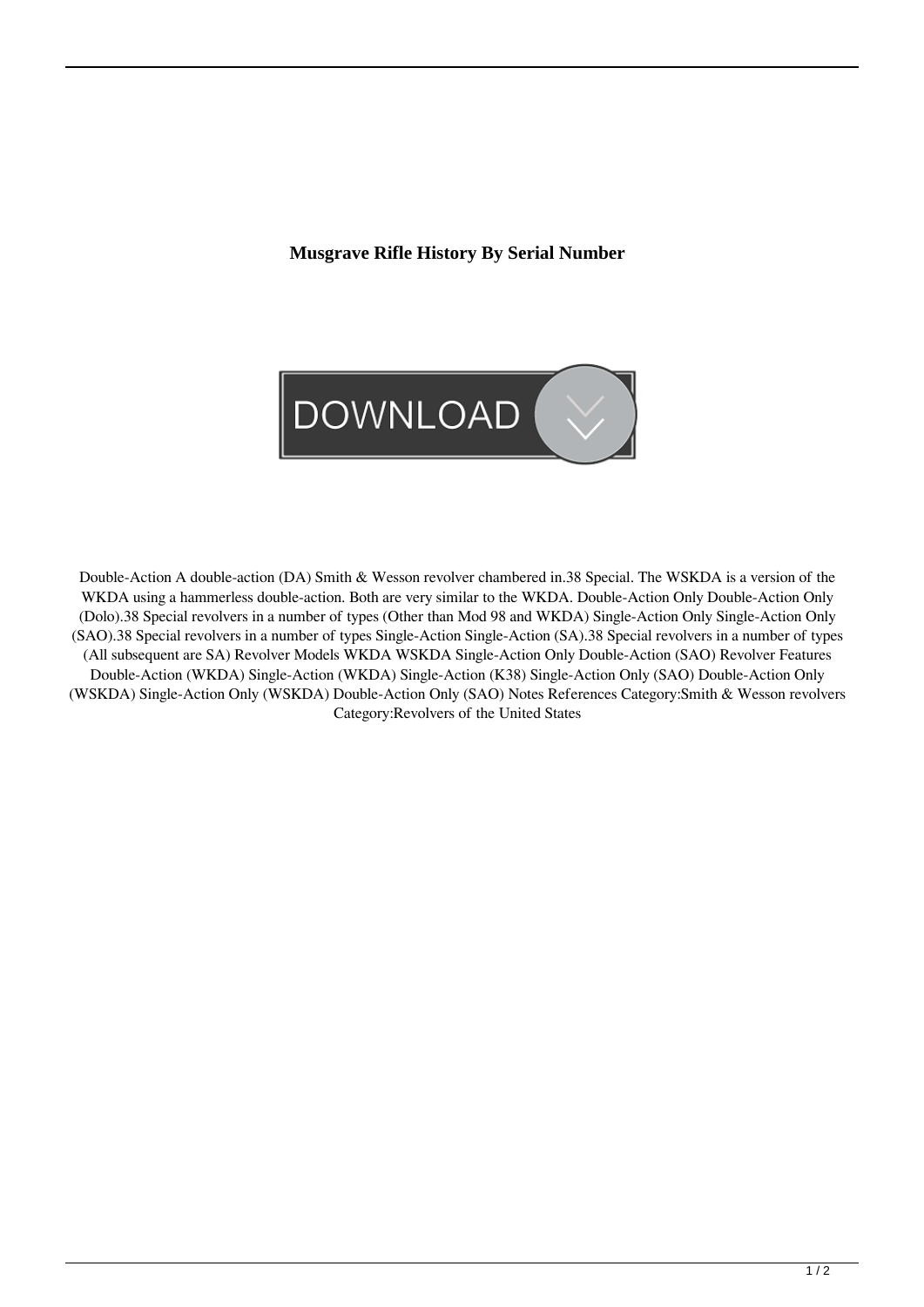## **Musgrave Rifle History By Serial Number**



Double-Action A double-action (DA) Smith & Wesson revolver chambered in.38 Special. The WSKDA is a version of the WKDA using a hammerless double-action. Both are very similar to the WKDA. Double-Action Only Double-Action Only (Dolo).38 Special revolvers in a number of types (Other than Mod 98 and WKDA) Single-Action Only Single-Action Only (SAO).38 Special revolvers in a number of types Single-Action Single-Action (SA).38 Special revolvers in a number of types (All subsequent are SA) Revolver Models WKDA WSKDA Single-Action Only Double-Action (SAO) Revolver Features Double-Action (WKDA) Single-Action (WKDA) Single-Action (K38) Single-Action Only (SAO) Double-Action Only (WSKDA) Single-Action Only (WSKDA) Double-Action Only (SAO) Notes References Category:Smith & Wesson revolvers Category:Revolvers of the United States